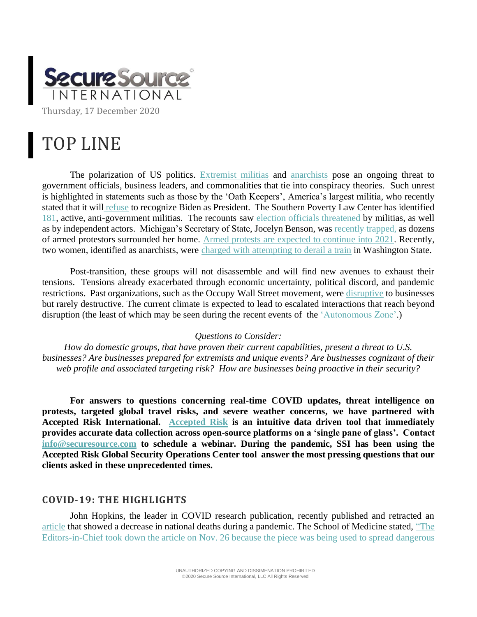

# TOP LINE

The polarization of US politics. [Extremist militias](https://www.fbi.gov/news/stories/domestic-terrorism-focus-on-militia-extremism) and [anarchists](https://archives.fbi.gov/archives/news/stories/2010/november/anarchist_111610/anarchist_111610) pose an ongoing threat to government officials, business leaders, and commonalities that tie into conspiracy theories. Such unrest is highlighted in statements such as those by the 'Oath Keepers', America's largest militia, who recently stated that it will [refuse](https://www.independent.co.uk/news/world/americas/us-election-2020/oath-keepers-militia-donald-trump-joe-biden-2020-election-b1723323.html) to recognize Biden as President. The Southern Poverty Law Center has identified [181,](https://spectrumnews1.com/ky/lexington/news/2020/11/25/militia-groups-in-kentucky) active, anti-government militias. The recounts saw [election officials threatened](https://www.arkansasonline.com/news/2020/dec/04/vote-workers-officials-around-us-facing-threats/) by militias, as well as by independent actors. Michigan's Secretary of State, Jocelyn Benson, was recently [trapped,](https://www.npr.org/sections/biden-transition-updates/2020/12/07/943820889/michigan-secretary-of-state-says-armed-protesters-descended-on-her-home-saturday) as dozens of armed protestors surrounded her home. [Armed protests are expected to continue into 2021.](https://thisisreno.com/2020/12/carson-city-sheriff-expects-armed-protests-to-continue-in-capital-through-spring/) Recently, two women, identified as anarchists, were charged [with attempting to derail a train](https://www.foxnews.com/us/seattle-terrorism-train-track-derailment-anarchist-group) in Washington State.

Post-transition, these groups will not disassemble and will find new avenues to exhaust their tensions. Tensions already exacerbated through economic uncertainty, political discord, and pandemic restrictions. Past organizations, such as the Occupy Wall Street movement, were [disruptive](https://en.wikipedia.org/wiki/Occupy_Wall_Street) to businesses but rarely destructive. The current climate is expected to lead to escalated interactions that reach beyond disruption (the least of which may be seen during the recent events of the ['Autonomous Zone'.](https://www.npr.org/2020/06/12/876293196/protesters-in-seattle-take-over-6-block-area-announce-an-autonomous-zone))

## *Questions to Consider:*

*How do domestic groups, that have proven their current capabilities, present a threat to U.S. businesses? Are businesses prepared for extremists and unique events? Are businesses cognizant of their web profile and associated targeting risk? How are businesses being proactive in their security?*

**For answers to questions concerning real-time COVID updates, threat intelligence on protests, targeted global travel risks, and severe weather concerns, we have partnered with Accepted Risk International. [Accepted Risk](https://drive.google.com/file/d/1gzPyqdheXuPyBSd5U6pbe2cKpdFf4bzW/view) is an intuitive data driven tool that immediately provides accurate data collection across open-source platforms on a 'single pane of glass'. Contact [info@securesource.com](mailto:info@securesource.com) to schedule a webinar. During the pandemic, SSI has been using the Accepted Risk Global Security Operations Center tool answer the most pressing questions that our clients asked in these unprecedented times.** 

## **COVID-19: THE HIGHLIGHTS**

John Hopkins, the leader in COVID research publication, recently published and retracted an [article](https://advanced.jhu.edu/event/covid-19-deaths-a-look-at-u-s-data/) that showed a decrease in national deaths during a pandemic. The School of Medicine stated, "The [Editors-in-Chief took down the article on Nov. 26 because the piece was being used to spread](https://www.jhunewsletter.com/article/2020/12/public-health-experts-and-biostatisticians-weigh-in-on-covid-19-deaths-a-look-at-u-s-data-webinar) dangerous